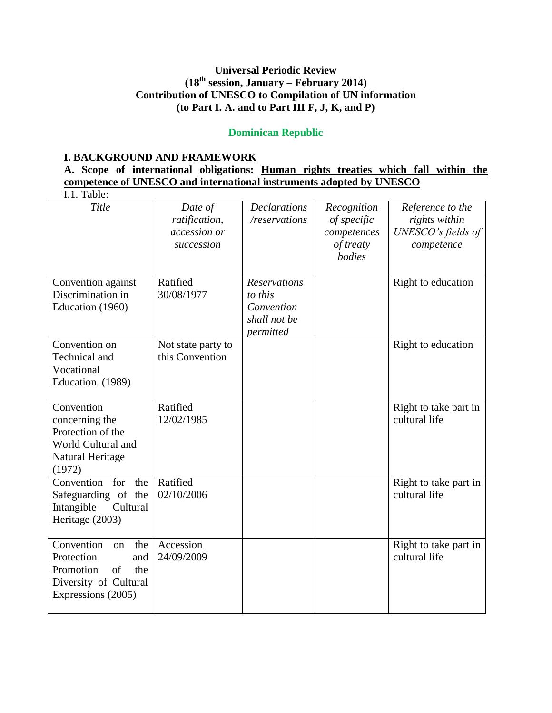# **Universal Periodic Review (18th session, January – February 2014) Contribution of UNESCO to Compilation of UN information (to Part I. A. and to Part III F, J, K, and P)**

# **Dominican Republic**

### **I. BACKGROUND AND FRAMEWORK**

|                                                                      |             |  | A. Scope of international obligations: Human rights treaties which fall within the |  |  |  |  |  |  |  |  |
|----------------------------------------------------------------------|-------------|--|------------------------------------------------------------------------------------|--|--|--|--|--|--|--|--|
| competence of UNESCO and international instruments adopted by UNESCO |             |  |                                                                                    |  |  |  |  |  |  |  |  |
|                                                                      | $I1$ Table: |  |                                                                                    |  |  |  |  |  |  |  |  |

| 1.1. 1 UUIV.                                                                                                                     |                                                        |                                                                           |                                                                  |                                                                       |
|----------------------------------------------------------------------------------------------------------------------------------|--------------------------------------------------------|---------------------------------------------------------------------------|------------------------------------------------------------------|-----------------------------------------------------------------------|
| Title                                                                                                                            | Date of<br>ratification,<br>accession or<br>succession | <b>Declarations</b><br>/reservations                                      | Recognition<br>of specific<br>competences<br>of treaty<br>bodies | Reference to the<br>rights within<br>UNESCO's fields of<br>competence |
| Convention against<br>Discrimination in<br>Education (1960)                                                                      | Ratified<br>30/08/1977                                 | <b>Reservations</b><br>to this<br>Convention<br>shall not be<br>permitted |                                                                  | Right to education                                                    |
| Convention on<br>Technical and<br>Vocational<br>Education. (1989)                                                                | Not state party to<br>this Convention                  |                                                                           |                                                                  | Right to education                                                    |
| Convention<br>concerning the<br>Protection of the<br>World Cultural and<br>Natural Heritage<br>(1972)                            | Ratified<br>12/02/1985                                 |                                                                           |                                                                  | Right to take part in<br>cultural life                                |
| Convention for<br>the<br>Safeguarding of the<br>Cultural<br>Intangible<br>Heritage (2003)                                        | Ratified<br>02/10/2006                                 |                                                                           |                                                                  | Right to take part in<br>cultural life                                |
| Convention<br>the<br><sub>on</sub><br>Protection<br>and<br>Promotion<br>of<br>the<br>Diversity of Cultural<br>Expressions (2005) | Accession<br>24/09/2009                                |                                                                           |                                                                  | Right to take part in<br>cultural life                                |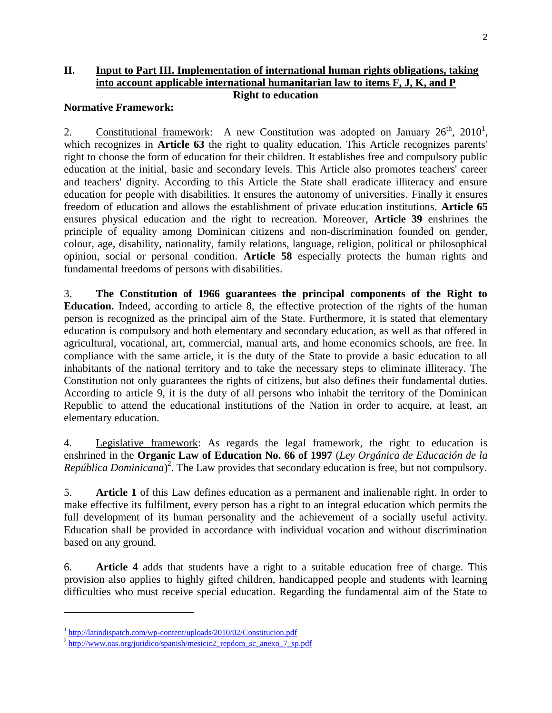### **II. Input to Part III. Implementation of international human rights obligations, taking into account applicable international humanitarian law to items F, J, K, and P Right to education**

#### **Normative Framework:**

2. Constitutional framework: A new Constitution was adopted on January  $26<sup>th</sup>$ ,  $2010<sup>1</sup>$ , which recognizes in **Article 63** the right to quality education. This Article recognizes parents' right to choose the form of education for their children. It establishes free and compulsory public education at the initial, basic and secondary levels. This Article also promotes teachers' career and teachers' dignity. According to this Article the State shall eradicate illiteracy and ensure education for people with disabilities. It ensures the autonomy of universities. Finally it ensures freedom of education and allows the establishment of private education institutions. **Article 65** ensures physical education and the right to recreation. Moreover, **Article 39** enshrines the principle of equality among Dominican citizens and non-discrimination founded on gender, colour, age, disability, nationality, family relations, language, religion, political or philosophical opinion, social or personal condition. **Article 58** especially protects the human rights and fundamental freedoms of persons with disabilities.

3. **The Constitution of 1966 guarantees the principal components of the Right to Education.** Indeed, according to article 8, the effective protection of the rights of the human person is recognized as the principal aim of the State. Furthermore, it is stated that elementary education is compulsory and both elementary and secondary education, as well as that offered in agricultural, vocational, art, commercial, manual arts, and home economics schools, are free. In compliance with the same article, it is the duty of the State to provide a basic education to all inhabitants of the national territory and to take the necessary steps to eliminate illiteracy. The Constitution not only guarantees the rights of citizens, but also defines their fundamental duties. According to article 9, it is the duty of all persons who inhabit the territory of the Dominican Republic to attend the educational institutions of the Nation in order to acquire, at least, an elementary education.

4. Legislative framework: As regards the legal framework, the right to education is enshrined in the **Organic Law of Education No. 66 of 1997** (*Ley Orgánica de Educación de la República Dominicana*) 2 . The Law provides that secondary education is free, but not compulsory.

5. **Article 1** of this Law defines education as a permanent and inalienable right. In order to make effective its fulfilment, every person has a right to an integral education which permits the full development of its human personality and the achievement of a socially useful activity. Education shall be provided in accordance with individual vocation and without discrimination based on any ground.

6. **Article 4** adds that students have a right to a suitable education free of charge. This provision also applies to highly gifted children, handicapped people and students with learning difficulties who must receive special education. Regarding the fundamental aim of the State to

 $\overline{\phantom{a}}$ 

<sup>&</sup>lt;sup>1</sup> <http://latindispatch.com/wp-content/uploads/2010/02/Constitucion.pdf>

<sup>&</sup>lt;sup>2</sup> [http://www.oas.org/juridico/spanish/mesicic2\\_repdom\\_sc\\_anexo\\_7\\_sp.pdf](http://www.oas.org/juridico/spanish/mesicic2_repdom_sc_anexo_7_sp.pdf)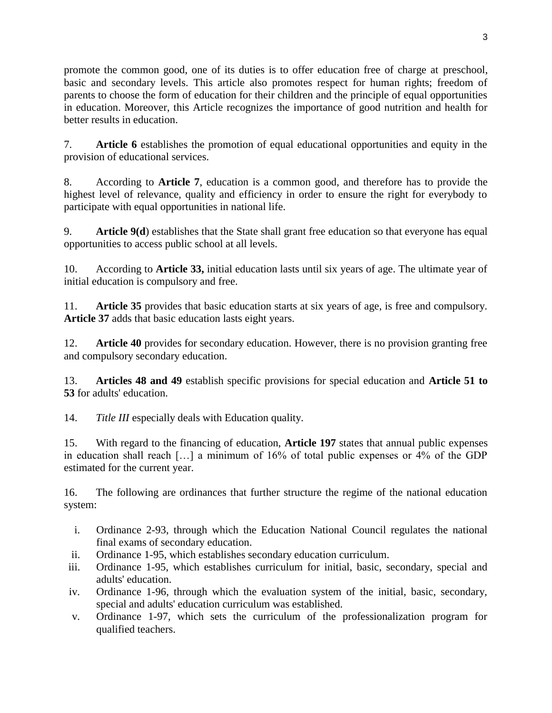promote the common good, one of its duties is to offer education free of charge at preschool, basic and secondary levels. This article also promotes respect for human rights; freedom of parents to choose the form of education for their children and the principle of equal opportunities in education. Moreover, this Article recognizes the importance of good nutrition and health for better results in education.

7. **Article 6** establishes the promotion of equal educational opportunities and equity in the provision of educational services.

8. According to **Article 7**, education is a common good, and therefore has to provide the highest level of relevance, quality and efficiency in order to ensure the right for everybody to participate with equal opportunities in national life.

9. **Article 9(d**) establishes that the State shall grant free education so that everyone has equal opportunities to access public school at all levels.

10. According to **Article 33,** initial education lasts until six years of age. The ultimate year of initial education is compulsory and free.

11. **Article 35** provides that basic education starts at six years of age, is free and compulsory. **Article 37** adds that basic education lasts eight years.

12. **Article 40** provides for secondary education. However, there is no provision granting free and compulsory secondary education.

13. **Articles 48 and 49** establish specific provisions for special education and **Article 51 to 53** for adults' education.

14. *Title III* especially deals with Education quality.

15. With regard to the financing of education, **Article 197** states that annual public expenses in education shall reach […] a minimum of 16% of total public expenses or 4% of the GDP estimated for the current year.

16. The following are ordinances that further structure the regime of the national education system:

- i. Ordinance 2-93, through which the Education National Council regulates the national final exams of secondary education.
- ii. Ordinance 1-95, which establishes secondary education curriculum.
- iii. Ordinance 1-95, which establishes curriculum for initial, basic, secondary, special and adults' education.
- iv. Ordinance 1-96, through which the evaluation system of the initial, basic, secondary, special and adults' education curriculum was established.
- v. Ordinance 1-97, which sets the curriculum of the professionalization program for qualified teachers.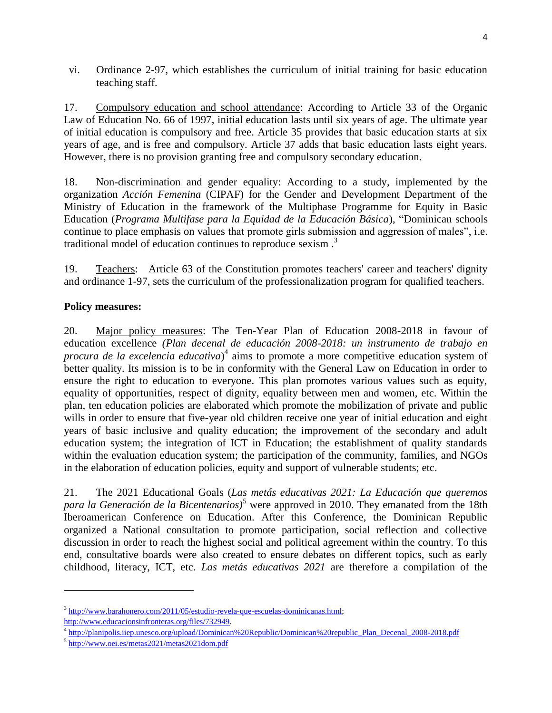vi. Ordinance 2-97, which establishes the curriculum of initial training for basic education teaching staff.

17. Compulsory education and school attendance: According to Article 33 of the Organic Law of Education No. 66 of 1997, initial education lasts until six years of age. The ultimate year of initial education is compulsory and free. Article 35 provides that basic education starts at six years of age, and is free and compulsory. Article 37 adds that basic education lasts eight years. However, there is no provision granting free and compulsory secondary education.

18. Non-discrimination and gender equality: According to a study, implemented by the organization *Acción Femenina* (CIPAF) for the Gender and Development Department of the Ministry of Education in the framework of the Multiphase Programme for Equity in Basic Education (*Programa Multifase para la Equidad de la Educación Básica*), "Dominican schools continue to place emphasis on values that promote girls submission and aggression of males", i.e. traditional model of education continues to reproduce sexism . 3

19. Teachers: Article 63 of the Constitution promotes teachers' career and teachers' dignity and ordinance 1-97, sets the curriculum of the professionalization program for qualified teachers.

# **Policy measures:**

20. Major policy measures: The Ten-Year Plan of Education 2008-2018 in favour of education excellence *(Plan decenal de educación 2008-2018: un instrumento de trabajo en procura de la excelencia educativa*) 4 aims to promote a more competitive education system of better quality. Its mission is to be in conformity with the General Law on Education in order to ensure the right to education to everyone. This plan promotes various values such as equity, equality of opportunities, respect of dignity, equality between men and women, etc. Within the plan, ten education policies are elaborated which promote the mobilization of private and public wills in order to ensure that five-year old children receive one year of initial education and eight years of basic inclusive and quality education; the improvement of the secondary and adult education system; the integration of ICT in Education; the establishment of quality standards within the evaluation education system; the participation of the community, families, and NGOs in the elaboration of education policies, equity and support of vulnerable students; etc.

21. The 2021 Educational Goals (*Las metás educativas 2021: La Educación que queremos para la Generación de la Bicentenarios)*<sup>5</sup> were approved in 2010. They emanated from the 18th Iberoamerican Conference on Education. After this Conference, the Dominican Republic organized a National consultation to promote participation, social reflection and collective discussion in order to reach the highest social and political agreement within the country. To this end, consultative boards were also created to ensure debates on different topics, such as early childhood, literacy, ICT, etc. *Las metás educativas 2021* are therefore a compilation of the

l

<sup>&</sup>lt;sup>3</sup> http://www.barahonero.com/2011/05/estudio-revela-que-escuelas-dominicanas.html;

[http://www.educacionsinfronteras.org/files/732949.](http://www.educacionsinfronteras.org/files/732949)

<sup>&</sup>lt;sup>4</sup> [http://planipolis.iiep.unesco.org/upload/Dominican%20Republic/Dominican%20republic\\_Plan\\_Decenal\\_2008-2018.pdf](http://planipolis.iiep.unesco.org/upload/Dominican%20Republic/Dominican%20republic_Plan_Decenal_2008-2018.pdf)

<sup>&</sup>lt;sup>5</sup> <http://www.oei.es/metas2021/metas2021dom.pdf>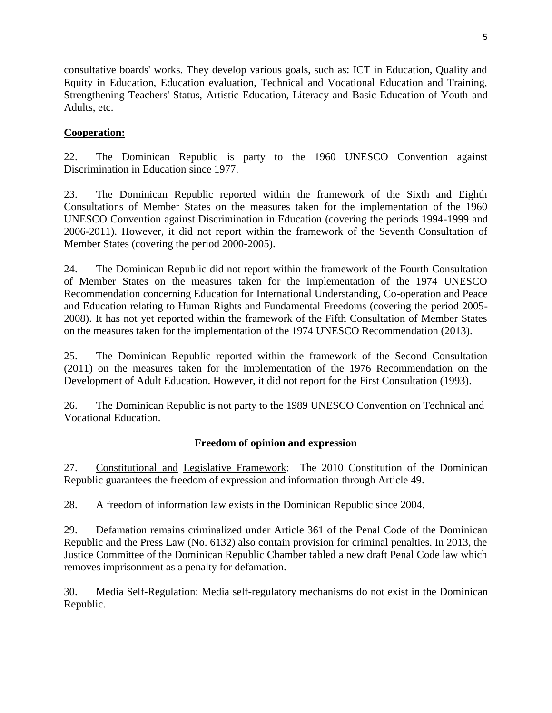consultative boards' works. They develop various goals, such as: ICT in Education, Quality and Equity in Education, Education evaluation, Technical and Vocational Education and Training, Strengthening Teachers' Status, Artistic Education, Literacy and Basic Education of Youth and Adults, etc.

# **Cooperation:**

22. The Dominican Republic is party to the 1960 UNESCO Convention against Discrimination in Education since 1977.

23. The Dominican Republic reported within the framework of the Sixth and Eighth Consultations of Member States on the measures taken for the implementation of the 1960 UNESCO Convention against Discrimination in Education (covering the periods 1994-1999 and 2006-2011). However, it did not report within the framework of the Seventh Consultation of Member States (covering the period 2000-2005).

24. The Dominican Republic did not report within the framework of the Fourth Consultation of Member States on the measures taken for the implementation of the 1974 UNESCO Recommendation concerning Education for International Understanding, Co-operation and Peace and Education relating to Human Rights and Fundamental Freedoms (covering the period 2005- 2008). It has not yet reported within the framework of the Fifth Consultation of Member States on the measures taken for the implementation of the 1974 UNESCO Recommendation (2013).

25. The Dominican Republic reported within the framework of the Second Consultation (2011) on the measures taken for the implementation of the 1976 Recommendation on the Development of Adult Education. However, it did not report for the First Consultation (1993).

26. The Dominican Republic is not party to the 1989 UNESCO Convention on Technical and Vocational Education.

# **Freedom of opinion and expression**

27. Constitutional and Legislative Framework: The 2010 Constitution of the Dominican Republic guarantees the freedom of expression and information through Article 49.

28. A freedom of information law exists in the Dominican Republic since 2004.

29. Defamation remains criminalized under Article 361 of the Penal Code of the Dominican Republic and the Press Law (No. 6132) also contain provision for criminal penalties. In 2013, the Justice Committee of the Dominican Republic Chamber tabled a new draft Penal Code law which removes imprisonment as a penalty for defamation.

30. Media Self-Regulation: Media self-regulatory mechanisms do not exist in the Dominican Republic.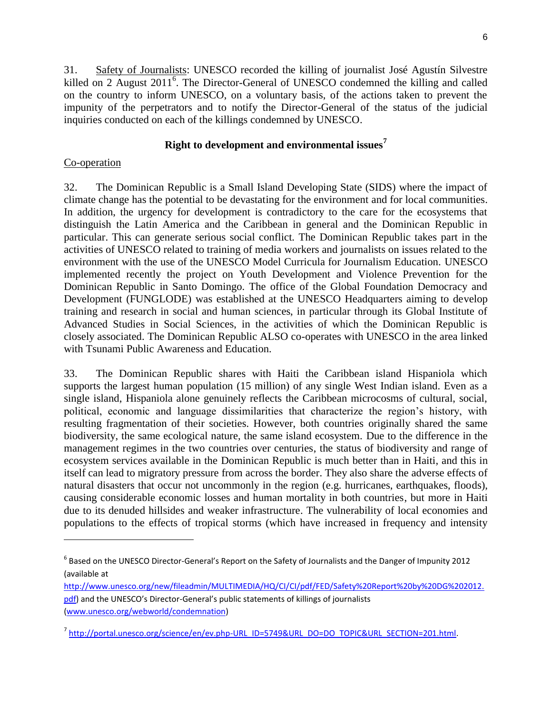31. Safety of Journalists: UNESCO recorded the killing of journalist José Agustín Silvestre killed on 2 August 2011<sup>6</sup>. The Director-General of UNESCO condemned the killing and called on the country to inform UNESCO, on a voluntary basis, of the actions taken to prevent the impunity of the perpetrators and to notify the Director-General of the status of the judicial inquiries conducted on each of the killings condemned by UNESCO.

# **Right to development and environmental issues<sup>7</sup>**

# Co-operation

l

32. The Dominican Republic is a Small Island Developing State (SIDS) where the impact of climate change has the potential to be devastating for the environment and for local communities. In addition, the urgency for development is contradictory to the care for the ecosystems that distinguish the Latin America and the Caribbean in general and the Dominican Republic in particular. This can generate serious social conflict. The Dominican Republic takes part in the activities of UNESCO related to training of media workers and journalists on issues related to the environment with the use of the UNESCO Model Curricula for Journalism Education. UNESCO implemented recently the project on Youth Development and Violence Prevention for the Dominican Republic in Santo Domingo. The office of the Global Foundation Democracy and Development (FUNGLODE) was established at the UNESCO Headquarters aiming to develop training and research in social and human sciences, in particular through its Global Institute of Advanced Studies in Social Sciences, in the activities of which the Dominican Republic is closely associated. The Dominican Republic ALSO co-operates with UNESCO in the area linked with Tsunami Public Awareness and Education.

33. The Dominican Republic shares with Haiti the Caribbean island Hispaniola which supports the largest human population (15 million) of any single West Indian island. Even as a single island, Hispaniola alone genuinely reflects the Caribbean microcosms of cultural, social, political, economic and language dissimilarities that characterize the region's history, with resulting fragmentation of their societies. However, both countries originally shared the same biodiversity, the same ecological nature, the same island ecosystem. Due to the difference in the management regimes in the two countries over centuries, the status of biodiversity and range of ecosystem services available in the Dominican Republic is much better than in Haiti, and this in itself can lead to migratory pressure from across the border. They also share the adverse effects of natural disasters that occur not uncommonly in the region (e.g. hurricanes, earthquakes, floods), causing considerable economic losses and human mortality in both countries, but more in Haiti due to its denuded hillsides and weaker infrastructure. The vulnerability of local economies and populations to the effects of tropical storms (which have increased in frequency and intensity

<sup>6</sup> Based on the UNESCO Director-General's Report on the Safety of Journalists and the Danger of Impunity 2012 (available at

[http://www.unesco.org/new/fileadmin/MULTIMEDIA/HQ/CI/CI/pdf/FED/Safety%20Report%20by%20DG%202012.](http://www.unesco.org/new/fileadmin/MULTIMEDIA/HQ/CI/CI/pdf/FED/Safety%20Report%20by%20DG%202012.pdf) [pdf](http://www.unesco.org/new/fileadmin/MULTIMEDIA/HQ/CI/CI/pdf/FED/Safety%20Report%20by%20DG%202012.pdf)) and the UNESCO's Director-General's public statements of killings of journalists [\(www.unesco.org/webworld/condemnation\)](http://www.unesco.org/webworld/condemnation)

<sup>&</sup>lt;sup>7</sup> [http://portal.unesco.org/science/en/ev.php-URL\\_ID=5749&URL\\_DO=DO\\_TOPIC&URL\\_SECTION=201.html.](http://portal.unesco.org/science/en/ev.php-URL_ID=5749&URL_DO=DO_TOPIC&URL_SECTION=201.html)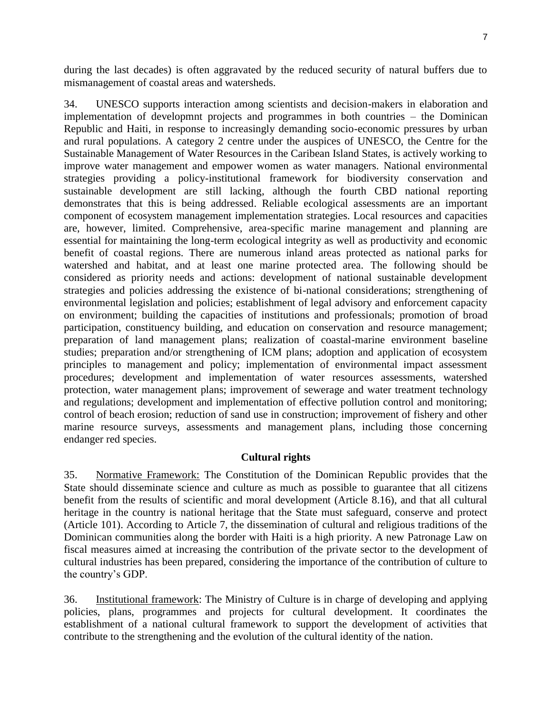during the last decades) is often aggravated by the reduced security of natural buffers due to mismanagement of coastal areas and watersheds.

34. UNESCO supports interaction among scientists and decision-makers in elaboration and implementation of developmnt projects and programmes in both countries – the Dominican Republic and Haiti, in response to increasingly demanding socio-economic pressures by urban and rural populations. A category 2 centre under the auspices of UNESCO, the Centre for the Sustainable Management of Water Resources in the Caribean Island States, is actively working to improve water management and empower women as water managers. National environmental strategies providing a policy-institutional framework for biodiversity conservation and sustainable development are still lacking, although the fourth CBD national reporting demonstrates that this is being addressed. Reliable ecological assessments are an important component of ecosystem management implementation strategies. Local resources and capacities are, however, limited. Comprehensive, area-specific marine management and planning are essential for maintaining the long-term ecological integrity as well as productivity and economic benefit of coastal regions. There are numerous inland areas protected as national parks for watershed and habitat, and at least one marine protected area. The following should be considered as priority needs and actions: development of national sustainable development strategies and policies addressing the existence of bi-national considerations; strengthening of environmental legislation and policies; establishment of legal advisory and enforcement capacity on environment; building the capacities of institutions and professionals; promotion of broad participation, constituency building, and education on conservation and resource management; preparation of land management plans; realization of coastal-marine environment baseline studies; preparation and/or strengthening of ICM plans; adoption and application of ecosystem principles to management and policy; implementation of environmental impact assessment procedures; development and implementation of water resources assessments, watershed protection, water management plans; improvement of sewerage and water treatment technology and regulations; development and implementation of effective pollution control and monitoring; control of beach erosion; reduction of sand use in construction; improvement of fishery and other marine resource surveys, assessments and management plans, including those concerning endanger red species.

# **Cultural rights**

35. Normative Framework: The Constitution of the Dominican Republic provides that the State should disseminate science and culture as much as possible to guarantee that all citizens benefit from the results of scientific and moral development (Article 8.16), and that all cultural heritage in the country is national heritage that the State must safeguard, conserve and protect (Article 101). According to Article 7, the dissemination of cultural and religious traditions of the Dominican communities along the border with Haiti is a high priority. A new Patronage Law on fiscal measures aimed at increasing the contribution of the private sector to the development of cultural industries has been prepared, considering the importance of the contribution of culture to the country's GDP.

36. Institutional framework: The Ministry of Culture is in charge of developing and applying policies, plans, programmes and projects for cultural development. It coordinates the establishment of a national cultural framework to support the development of activities that contribute to the strengthening and the evolution of the cultural identity of the nation.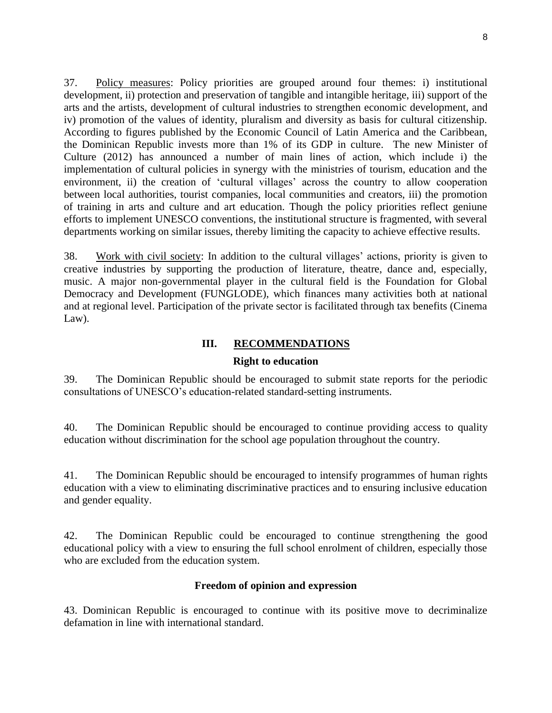37. Policy measures: Policy priorities are grouped around four themes: i) institutional development, ii) protection and preservation of tangible and intangible heritage, iii) support of the arts and the artists, development of cultural industries to strengthen economic development, and iv) promotion of the values of identity, pluralism and diversity as basis for cultural citizenship. According to figures published by the Economic Council of Latin America and the Caribbean, the Dominican Republic invests more than 1% of its GDP in culture. The new Minister of Culture (2012) has announced a number of main lines of action, which include i) the implementation of cultural policies in synergy with the ministries of tourism, education and the environment, ii) the creation of 'cultural villages' across the country to allow cooperation between local authorities, tourist companies, local communities and creators, iii) the promotion of training in arts and culture and art education. Though the policy priorities reflect geniune efforts to implement UNESCO conventions, the institutional structure is fragmented, with several departments working on similar issues, thereby limiting the capacity to achieve effective results.

38. Work with civil society: In addition to the cultural villages' actions, priority is given to creative industries by supporting the production of literature, theatre, dance and, especially, music. A major non-governmental player in the cultural field is the Foundation for Global Democracy and Development (FUNGLODE), which finances many activities both at national and at regional level. Participation of the private sector is facilitated through tax benefits (Cinema Law).

#### **III. RECOMMENDATIONS**

#### **Right to education**

39. The Dominican Republic should be encouraged to submit state reports for the periodic consultations of UNESCO's education-related standard-setting instruments.

40. The Dominican Republic should be encouraged to continue providing access to quality education without discrimination for the school age population throughout the country.

41. The Dominican Republic should be encouraged to intensify programmes of human rights education with a view to eliminating discriminative practices and to ensuring inclusive education and gender equality.

42. The Dominican Republic could be encouraged to continue strengthening the good educational policy with a view to ensuring the full school enrolment of children, especially those who are excluded from the education system.

#### **Freedom of opinion and expression**

43. Dominican Republic is encouraged to continue with its positive move to decriminalize defamation in line with international standard.